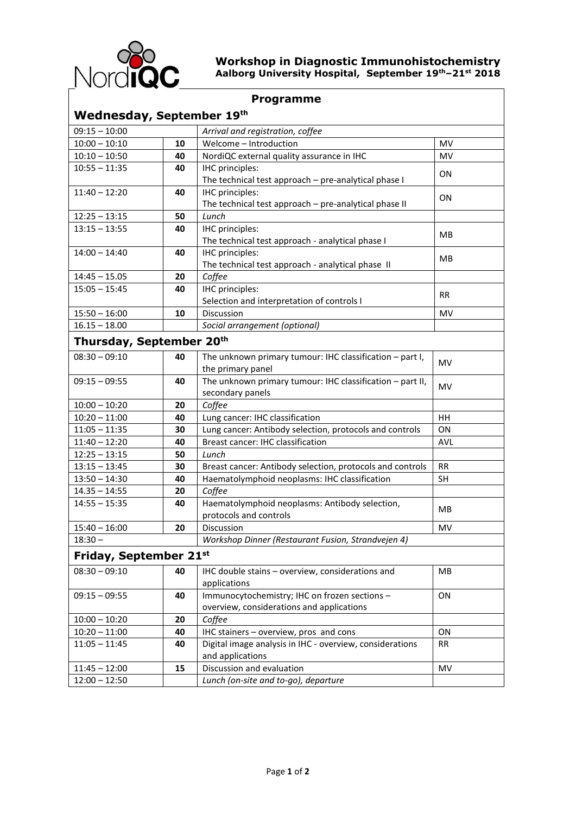

## **Workshop in Diagnostic Immunohistochemistry Aalborg University Hospital, September 19th–21st 2018**

| <b>Programme</b>          |    |                                                           |            |
|---------------------------|----|-----------------------------------------------------------|------------|
| Wednesday, September 19th |    |                                                           |            |
| $09:15 - 10:00$           |    | Arrival and registration, coffee                          |            |
| $10:00 - 10:10$           | 10 | Welcome - Introduction                                    | <b>MV</b>  |
| $10:10 - 10:50$           | 40 | NordiQC external quality assurance in IHC                 | <b>MV</b>  |
| $10:55 - 11:35$           | 40 | IHC principles:                                           | ON         |
|                           |    | The technical test approach - pre-analytical phase I      |            |
| $11:40 - 12:20$           | 40 | IHC principles:                                           | ΟN         |
|                           |    | The technical test approach - pre-analytical phase II     |            |
| $12:25 - 13:15$           | 50 | Lunch                                                     |            |
| $13:15 - 13:55$           | 40 | IHC principles:                                           | MВ         |
|                           |    | The technical test approach - analytical phase I          |            |
| $14:00 - 14:40$           | 40 | IHC principles:                                           | <b>MB</b>  |
|                           |    | The technical test approach - analytical phase II         |            |
| $14:45 - 15.05$           | 20 | Coffee                                                    |            |
| $15:05 - 15:45$           | 40 | IHC principles:                                           | <b>RR</b>  |
|                           |    | Selection and interpretation of controls I                |            |
| $15:50 - 16:00$           | 10 | Discussion                                                | MV         |
| $16.15 - 18.00$           |    | Social arrangement (optional)                             |            |
| Thursday, September 20th  |    |                                                           |            |
| $08:30 - 09:10$           | 40 | The unknown primary tumour: IHC classification - part I,  | <b>MV</b>  |
|                           |    | the primary panel                                         |            |
| $09:15 - 09:55$           | 40 | The unknown primary tumour: IHC classification - part II, | <b>MV</b>  |
|                           |    | secondary panels                                          |            |
| $10:00 - 10:20$           | 20 | Coffee                                                    |            |
| $10:20 - 11:00$           | 40 | Lung cancer: IHC classification                           | HH         |
| $11:05 - 11:35$           | 30 | Lung cancer: Antibody selection, protocols and controls   | ΟN         |
| $11:40 - 12:20$           | 40 | Breast cancer: IHC classification                         | <b>AVL</b> |
| $12:25 - 13:15$           | 50 | Lunch                                                     |            |
| $13:15 - 13:45$           | 30 | Breast cancer: Antibody selection, protocols and controls | <b>RR</b>  |
| $13:50 - 14:30$           | 40 | Haematolymphoid neoplasms: IHC classification             | <b>SH</b>  |
| $14.35 - 14:55$           | 20 | Coffee                                                    |            |
| $14:55 - 15:35$           | 40 | Haematolymphoid neoplasms: Antibody selection,            | MВ         |
|                           |    | protocols and controls                                    |            |
| $15:40 - 16:00$           | 20 | Discussion                                                | MV         |
| $18:30 -$                 |    | Workshop Dinner (Restaurant Fusion, Strandvejen 4)        |            |
| Friday, September 21st    |    |                                                           |            |
| $08:30 - 09:10$           | 40 | IHC double stains - overview, considerations and          | <b>MB</b>  |
|                           |    | applications                                              |            |
| $09:15 - 09:55$           | 40 | Immunocytochemistry; IHC on frozen sections -             | ON         |
|                           |    | overview, considerations and applications                 |            |
| $10:00 - 10:20$           | 20 | Coffee                                                    |            |
| $10:20 - 11:00$           | 40 | IHC stainers - overview, pros and cons                    | ON         |
| $11:05 - 11:45$           | 40 | Digital image analysis in IHC - overview, considerations  | RR.        |
|                           |    | and applications                                          |            |
| $11:45 - 12:00$           | 15 | Discussion and evaluation                                 | MV         |
| $12:00 - 12:50$           |    | Lunch (on-site and to-go), departure                      |            |